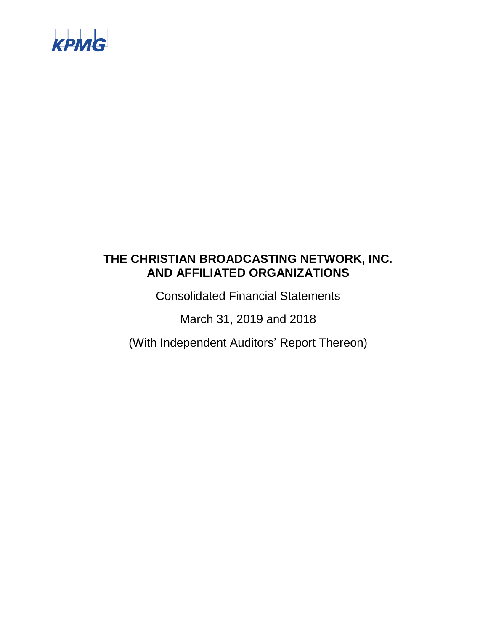

Consolidated Financial Statements

March 31, 2019 and 2018

(With Independent Auditors' Report Thereon)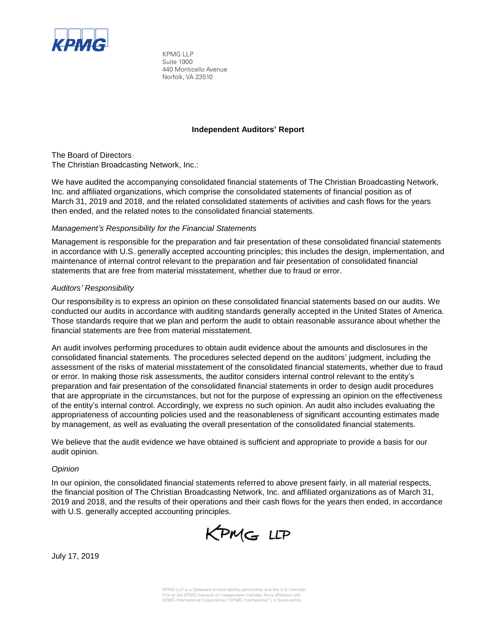

KPMG LLP Suite 1900 440 Monticello Avenue Norfolk, VA 23510

## **Independent Auditors' Report**

The Board of Directors The Christian Broadcasting Network, Inc.:

We have audited the accompanying consolidated financial statements of The Christian Broadcasting Network, Inc. and affiliated organizations, which comprise the consolidated statements of financial position as of March 31, 2019 and 2018, and the related consolidated statements of activities and cash flows for the years then ended, and the related notes to the consolidated financial statements.

## *Management's Responsibility for the Financial Statements*

Management is responsible for the preparation and fair presentation of these consolidated financial statements in accordance with U.S. generally accepted accounting principles; this includes the design, implementation, and maintenance of internal control relevant to the preparation and fair presentation of consolidated financial statements that are free from material misstatement, whether due to fraud or error.

## *Auditors' Responsibility*

Our responsibility is to express an opinion on these consolidated financial statements based on our audits. We conducted our audits in accordance with auditing standards generally accepted in the United States of America. Those standards require that we plan and perform the audit to obtain reasonable assurance about whether the financial statements are free from material misstatement.

An audit involves performing procedures to obtain audit evidence about the amounts and disclosures in the consolidated financial statements. The procedures selected depend on the auditors' judgment, including the assessment of the risks of material misstatement of the consolidated financial statements, whether due to fraud or error. In making those risk assessments, the auditor considers internal control relevant to the entity's preparation and fair presentation of the consolidated financial statements in order to design audit procedures that are appropriate in the circumstances, but not for the purpose of expressing an opinion on the effectiveness of the entity's internal control. Accordingly, we express no such opinion. An audit also includes evaluating the appropriateness of accounting policies used and the reasonableness of significant accounting estimates made by management, as well as evaluating the overall presentation of the consolidated financial statements.

We believe that the audit evidence we have obtained is sufficient and appropriate to provide a basis for our audit opinion.

## *Opinion*

In our opinion, the consolidated financial statements referred to above present fairly, in all material respects, the financial position of The Christian Broadcasting Network, Inc. and affiliated organizations as of March 31, 2019 and 2018, and the results of their operations and their cash flows for the years then ended, in accordance with U.S. generally accepted accounting principles.



July 17, 2019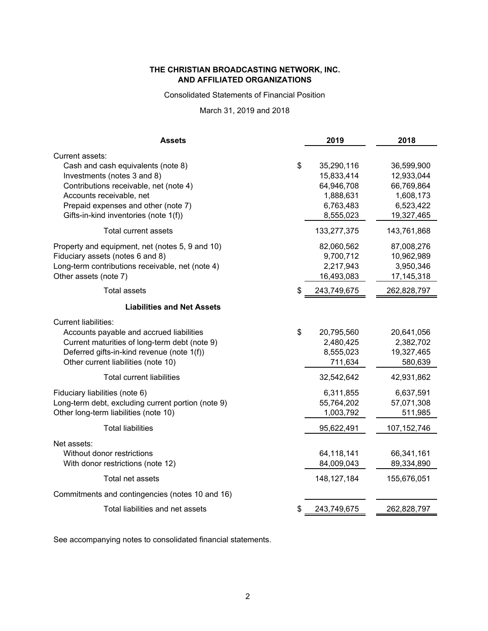Consolidated Statements of Financial Position

March 31, 2019 and 2018

| <b>Assets</b>                                      | 2019              | 2018          |
|----------------------------------------------------|-------------------|---------------|
| Current assets:                                    |                   |               |
| Cash and cash equivalents (note 8)                 | \$<br>35,290,116  | 36,599,900    |
| Investments (notes 3 and 8)                        | 15,833,414        | 12,933,044    |
| Contributions receivable, net (note 4)             | 64,946,708        | 66,769,864    |
| Accounts receivable, net                           | 1,888,631         | 1,608,173     |
| Prepaid expenses and other (note 7)                | 6,763,483         | 6,523,422     |
| Gifts-in-kind inventories (note 1(f))              | 8,555,023         | 19,327,465    |
| Total current assets                               | 133,277,375       | 143,761,868   |
| Property and equipment, net (notes 5, 9 and 10)    | 82,060,562        | 87,008,276    |
| Fiduciary assets (notes 6 and 8)                   | 9,700,712         | 10,962,989    |
| Long-term contributions receivable, net (note 4)   | 2,217,943         | 3,950,346     |
| Other assets (note 7)                              | 16,493,083        | 17, 145, 318  |
| Total assets                                       | \$<br>243,749,675 | 262,828,797   |
| <b>Liabilities and Net Assets</b>                  |                   |               |
| <b>Current liabilities:</b>                        |                   |               |
| Accounts payable and accrued liabilities           | \$<br>20,795,560  | 20,641,056    |
| Current maturities of long-term debt (note 9)      | 2,480,425         | 2,382,702     |
| Deferred gifts-in-kind revenue (note 1(f))         | 8,555,023         | 19,327,465    |
| Other current liabilities (note 10)                | 711,634           | 580,639       |
| <b>Total current liabilities</b>                   | 32,542,642        | 42,931,862    |
| Fiduciary liabilities (note 6)                     | 6,311,855         | 6,637,591     |
| Long-term debt, excluding current portion (note 9) | 55,764,202        | 57,071,308    |
| Other long-term liabilities (note 10)              | 1,003,792         | 511,985       |
| <b>Total liabilities</b>                           | 95,622,491        | 107, 152, 746 |
| Net assets:                                        |                   |               |
| Without donor restrictions                         | 64,118,141        | 66,341,161    |
| With donor restrictions (note 12)                  | 84,009,043        | 89,334,890    |
| Total net assets                                   | 148, 127, 184     | 155,676,051   |
| Commitments and contingencies (notes 10 and 16)    |                   |               |
| Total liabilities and net assets                   | \$<br>243,749,675 | 262,828,797   |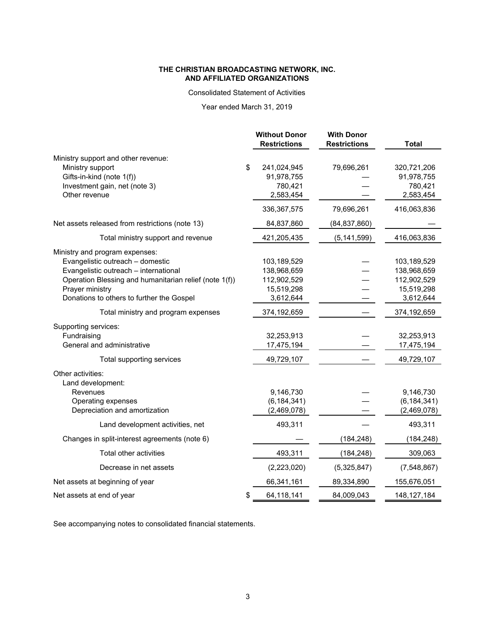Consolidated Statement of Activities

# Year ended March 31, 2019

|                                                        | <b>Without Donor</b><br><b>Restrictions</b> | <b>With Donor</b><br><b>Restrictions</b> | <b>Total</b>  |
|--------------------------------------------------------|---------------------------------------------|------------------------------------------|---------------|
| Ministry support and other revenue:                    |                                             |                                          |               |
| Ministry support                                       | \$<br>241,024,945                           | 79,696,261                               | 320,721,206   |
| Gifts-in-kind (note 1(f))                              | 91,978,755                                  |                                          | 91,978,755    |
| Investment gain, net (note 3)                          | 780,421                                     |                                          | 780,421       |
| Other revenue                                          | 2,583,454                                   |                                          | 2,583,454     |
|                                                        | 336, 367, 575                               | 79,696,261                               | 416,063,836   |
| Net assets released from restrictions (note 13)        | 84,837,860                                  | (84, 837, 860)                           |               |
| Total ministry support and revenue                     | 421,205,435                                 | (5, 141, 599)                            | 416,063,836   |
| Ministry and program expenses:                         |                                             |                                          |               |
| Evangelistic outreach - domestic                       | 103,189,529                                 |                                          | 103,189,529   |
| Evangelistic outreach - international                  | 138,968,659                                 |                                          | 138,968,659   |
| Operation Blessing and humanitarian relief (note 1(f)) | 112,902,529                                 |                                          | 112,902,529   |
| Prayer ministry                                        | 15,519,298                                  |                                          | 15,519,298    |
| Donations to others to further the Gospel              | 3,612,644                                   |                                          | 3,612,644     |
| Total ministry and program expenses                    | 374,192,659                                 |                                          | 374,192,659   |
| Supporting services:                                   |                                             |                                          |               |
| Fundraising                                            | 32,253,913                                  |                                          | 32,253,913    |
| General and administrative                             | 17,475,194                                  |                                          | 17,475,194    |
| Total supporting services                              | 49,729,107                                  |                                          | 49,729,107    |
| Other activities:                                      |                                             |                                          |               |
| Land development:<br>Revenues                          | 9,146,730                                   |                                          | 9,146,730     |
| Operating expenses                                     | (6, 184, 341)                               |                                          | (6, 184, 341) |
| Depreciation and amortization                          | (2,469,078)                                 |                                          | (2,469,078)   |
| Land development activities, net                       | 493,311                                     |                                          | 493,311       |
| Changes in split-interest agreements (note 6)          |                                             | (184, 248)                               | (184, 248)    |
| Total other activities                                 | 493,311                                     | (184, 248)                               | 309,063       |
| Decrease in net assets                                 | (2,223,020)                                 | (5,325,847)                              | (7,548,867)   |
| Net assets at beginning of year                        | 66,341,161                                  | 89,334,890                               | 155,676,051   |
| Net assets at end of year                              | 64,118,141<br>\$                            | 84,009,043                               | 148, 127, 184 |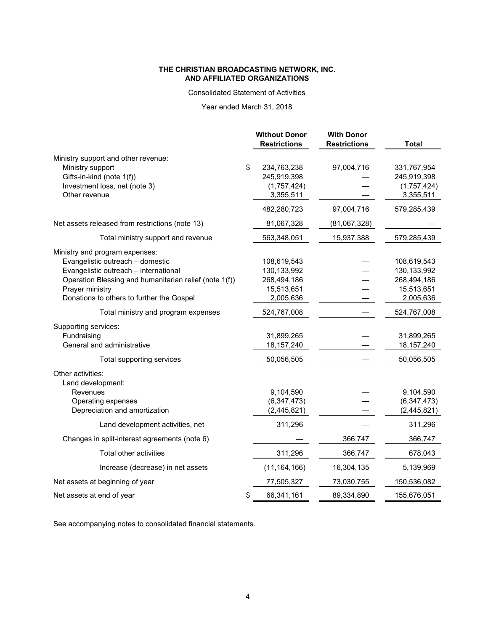#### Consolidated Statement of Activities

# Year ended March 31, 2018

|                                                        | <b>Without Donor</b><br><b>Restrictions</b> | <b>With Donor</b><br><b>Restrictions</b> | <b>Total</b>  |
|--------------------------------------------------------|---------------------------------------------|------------------------------------------|---------------|
| Ministry support and other revenue:                    |                                             |                                          |               |
| Ministry support                                       | \$<br>234,763,238                           | 97,004,716                               | 331,767,954   |
| Gifts-in-kind (note 1(f))                              | 245,919,398                                 |                                          | 245,919,398   |
| Investment loss, net (note 3)                          | (1,757,424)                                 |                                          | (1,757,424)   |
| Other revenue                                          | 3,355,511                                   |                                          | 3,355,511     |
|                                                        | 482,280,723                                 | 97,004,716                               | 579,285,439   |
| Net assets released from restrictions (note 13)        | 81,067,328                                  | (81,067,328)                             |               |
| Total ministry support and revenue                     | 563,348,051                                 | 15,937,388                               | 579,285,439   |
| Ministry and program expenses:                         |                                             |                                          |               |
| Evangelistic outreach - domestic                       | 108,619,543                                 |                                          | 108,619,543   |
| Evangelistic outreach - international                  | 130,133,992                                 |                                          | 130, 133, 992 |
| Operation Blessing and humanitarian relief (note 1(f)) | 268,494,186                                 |                                          | 268,494,186   |
| Prayer ministry                                        | 15,513,651                                  |                                          | 15,513,651    |
| Donations to others to further the Gospel              | 2,005,636                                   |                                          | 2,005,636     |
| Total ministry and program expenses                    | 524,767,008                                 |                                          | 524,767,008   |
| Supporting services:                                   |                                             |                                          |               |
| Fundraising                                            | 31,899,265                                  |                                          | 31,899,265    |
| General and administrative                             | 18, 157, 240                                |                                          | 18, 157, 240  |
| Total supporting services                              | 50,056,505                                  |                                          | 50,056,505    |
| Other activities:                                      |                                             |                                          |               |
| Land development:                                      |                                             |                                          |               |
| Revenues                                               | 9,104,590                                   |                                          | 9,104,590     |
| Operating expenses                                     | (6, 347, 473)                               |                                          | (6, 347, 473) |
| Depreciation and amortization                          | (2, 445, 821)                               |                                          | (2,445,821)   |
| Land development activities, net                       | 311,296                                     |                                          | 311,296       |
| Changes in split-interest agreements (note 6)          |                                             | 366,747                                  | 366,747       |
| Total other activities                                 | 311,296                                     | 366,747                                  | 678,043       |
| Increase (decrease) in net assets                      | (11, 164, 166)                              | 16,304,135                               | 5,139,969     |
| Net assets at beginning of year                        | 77,505,327                                  | 73,030,755                               | 150,536,082   |
| Net assets at end of year                              | 66,341,161<br>\$                            | 89,334,890                               | 155,676,051   |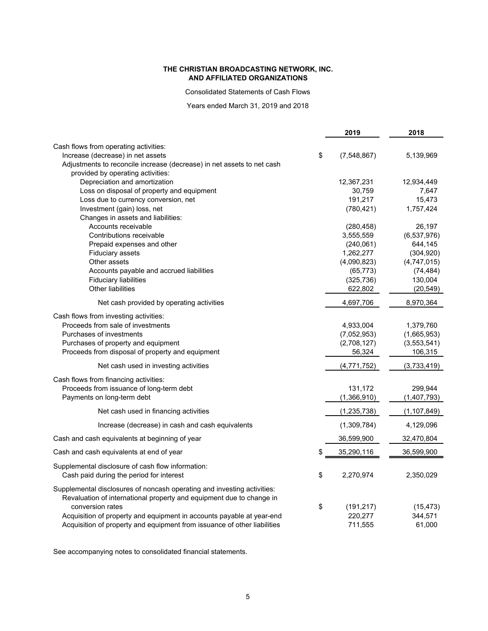Consolidated Statements of Cash Flows

Years ended March 31, 2019 and 2018

|                                                                                                                                                                     |    | 2019               | 2018              |
|---------------------------------------------------------------------------------------------------------------------------------------------------------------------|----|--------------------|-------------------|
| Cash flows from operating activities:                                                                                                                               |    |                    |                   |
| Increase (decrease) in net assets                                                                                                                                   | \$ | (7,548,867)        | 5,139,969         |
| Adjustments to reconcile increase (decrease) in net assets to net cash                                                                                              |    |                    |                   |
| provided by operating activities:                                                                                                                                   |    |                    |                   |
| Depreciation and amortization                                                                                                                                       |    | 12,367,231         | 12,934,449        |
| Loss on disposal of property and equipment                                                                                                                          |    | 30,759             | 7,647             |
| Loss due to currency conversion, net                                                                                                                                |    | 191,217            | 15,473            |
| Investment (gain) loss, net                                                                                                                                         |    | (780, 421)         | 1,757,424         |
| Changes in assets and liabilities:                                                                                                                                  |    |                    |                   |
| Accounts receivable                                                                                                                                                 |    | (280, 458)         | 26,197            |
| Contributions receivable                                                                                                                                            |    | 3,555,559          | (6,537,976)       |
| Prepaid expenses and other                                                                                                                                          |    | (240, 061)         | 644,145           |
| Fiduciary assets                                                                                                                                                    |    | 1,262,277          | (304, 920)        |
| Other assets                                                                                                                                                        |    | (4,090,823)        | (4,747,015)       |
| Accounts payable and accrued liabilities                                                                                                                            |    | (65, 773)          | (74, 484)         |
| <b>Fiduciary liabilities</b>                                                                                                                                        |    | (325, 736)         | 130,004           |
| Other liabilities                                                                                                                                                   |    | 622,802            | (20, 549)         |
| Net cash provided by operating activities                                                                                                                           |    | 4,697,706          | 8,970,364         |
| Cash flows from investing activities:                                                                                                                               |    |                    |                   |
| Proceeds from sale of investments                                                                                                                                   |    | 4,933,004          | 1,379,760         |
| Purchases of investments                                                                                                                                            |    | (7,052,953)        | (1,665,953)       |
| Purchases of property and equipment                                                                                                                                 |    | (2,708,127)        | (3,553,541)       |
| Proceeds from disposal of property and equipment                                                                                                                    |    | 56,324             | 106,315           |
| Net cash used in investing activities                                                                                                                               |    | (4,771,752)        | (3,733,419)       |
| Cash flows from financing activities:                                                                                                                               |    |                    |                   |
| Proceeds from issuance of long-term debt                                                                                                                            |    | 131,172            | 299,944           |
| Payments on long-term debt                                                                                                                                          |    | (1,366,910)        | (1,407,793)       |
| Net cash used in financing activities                                                                                                                               |    | (1, 235, 738)      | (1, 107, 849)     |
| Increase (decrease) in cash and cash equivalents                                                                                                                    |    | (1,309,784)        | 4,129,096         |
| Cash and cash equivalents at beginning of year                                                                                                                      |    | 36,599,900         | 32,470,804        |
| Cash and cash equivalents at end of year                                                                                                                            | S  | 35,290,116         | 36,599,900        |
| Supplemental disclosure of cash flow information:<br>Cash paid during the period for interest                                                                       | \$ | 2,270,974          | 2,350,029         |
| Supplemental disclosures of noncash operating and investing activities:<br>Revaluation of international property and equipment due to change in<br>conversion rates | \$ | (191, 217)         | (15, 473)         |
| Acquisition of property and equipment in accounts payable at year-end<br>Acquisition of property and equipment from issuance of other liabilities                   |    | 220,277<br>711,555 | 344,571<br>61,000 |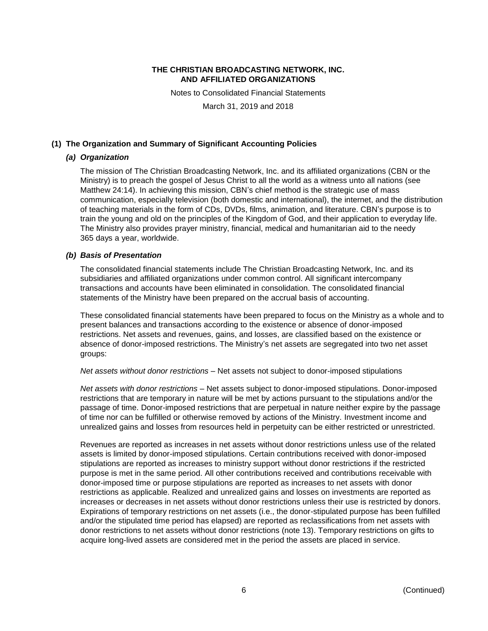Notes to Consolidated Financial Statements

March 31, 2019 and 2018

## **(1) The Organization and Summary of Significant Accounting Policies**

## *(a) Organization*

The mission of The Christian Broadcasting Network, Inc. and its affiliated organizations (CBN or the Ministry) is to preach the gospel of Jesus Christ to all the world as a witness unto all nations (see Matthew 24:14). In achieving this mission, CBN's chief method is the strategic use of mass communication, especially television (both domestic and international), the internet, and the distribution of teaching materials in the form of CDs, DVDs, films, animation, and literature. CBN's purpose is to train the young and old on the principles of the Kingdom of God, and their application to everyday life. The Ministry also provides prayer ministry, financial, medical and humanitarian aid to the needy 365 days a year, worldwide.

## *(b) Basis of Presentation*

The consolidated financial statements include The Christian Broadcasting Network, Inc. and its subsidiaries and affiliated organizations under common control. All significant intercompany transactions and accounts have been eliminated in consolidation. The consolidated financial statements of the Ministry have been prepared on the accrual basis of accounting.

These consolidated financial statements have been prepared to focus on the Ministry as a whole and to present balances and transactions according to the existence or absence of donor-imposed restrictions. Net assets and revenues, gains, and losses, are classified based on the existence or absence of donor-imposed restrictions. The Ministry's net assets are segregated into two net asset groups:

## *Net assets without donor restrictions* – Net assets not subject to donor-imposed stipulations

*Net assets with donor restrictions* – Net assets subject to donor-imposed stipulations. Donor-imposed restrictions that are temporary in nature will be met by actions pursuant to the stipulations and/or the passage of time. Donor-imposed restrictions that are perpetual in nature neither expire by the passage of time nor can be fulfilled or otherwise removed by actions of the Ministry. Investment income and unrealized gains and losses from resources held in perpetuity can be either restricted or unrestricted.

Revenues are reported as increases in net assets without donor restrictions unless use of the related assets is limited by donor-imposed stipulations. Certain contributions received with donor-imposed stipulations are reported as increases to ministry support without donor restrictions if the restricted purpose is met in the same period. All other contributions received and contributions receivable with donor-imposed time or purpose stipulations are reported as increases to net assets with donor restrictions as applicable. Realized and unrealized gains and losses on investments are reported as increases or decreases in net assets without donor restrictions unless their use is restricted by donors. Expirations of temporary restrictions on net assets (i.e., the donor-stipulated purpose has been fulfilled and/or the stipulated time period has elapsed) are reported as reclassifications from net assets with donor restrictions to net assets without donor restrictions (note 13). Temporary restrictions on gifts to acquire long-lived assets are considered met in the period the assets are placed in service.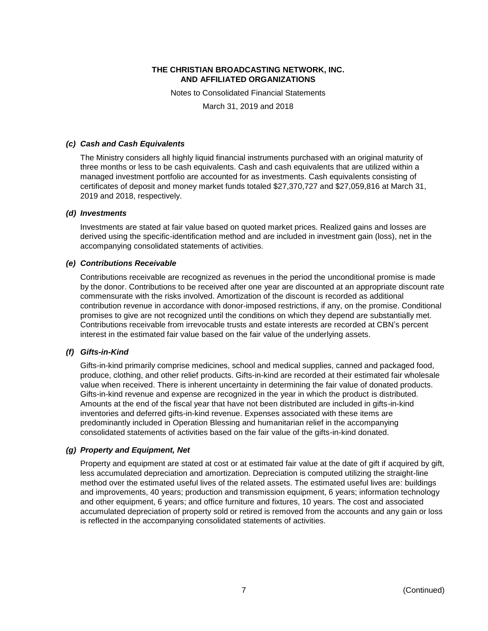Notes to Consolidated Financial Statements

March 31, 2019 and 2018

## *(c) Cash and Cash Equivalents*

The Ministry considers all highly liquid financial instruments purchased with an original maturity of three months or less to be cash equivalents. Cash and cash equivalents that are utilized within a managed investment portfolio are accounted for as investments. Cash equivalents consisting of certificates of deposit and money market funds totaled \$27,370,727 and \$27,059,816 at March 31, 2019 and 2018, respectively.

## *(d) Investments*

Investments are stated at fair value based on quoted market prices. Realized gains and losses are derived using the specific-identification method and are included in investment gain (loss), net in the accompanying consolidated statements of activities.

## *(e) Contributions Receivable*

Contributions receivable are recognized as revenues in the period the unconditional promise is made by the donor. Contributions to be received after one year are discounted at an appropriate discount rate commensurate with the risks involved. Amortization of the discount is recorded as additional contribution revenue in accordance with donor-imposed restrictions, if any, on the promise. Conditional promises to give are not recognized until the conditions on which they depend are substantially met. Contributions receivable from irrevocable trusts and estate interests are recorded at CBN's percent interest in the estimated fair value based on the fair value of the underlying assets.

## *(f) Gifts-in-Kind*

Gifts-in-kind primarily comprise medicines, school and medical supplies, canned and packaged food, produce, clothing, and other relief products. Gifts-in-kind are recorded at their estimated fair wholesale value when received. There is inherent uncertainty in determining the fair value of donated products. Gifts-in-kind revenue and expense are recognized in the year in which the product is distributed. Amounts at the end of the fiscal year that have not been distributed are included in gifts-in-kind inventories and deferred gifts-in-kind revenue. Expenses associated with these items are predominantly included in Operation Blessing and humanitarian relief in the accompanying consolidated statements of activities based on the fair value of the gifts-in-kind donated.

## *(g) Property and Equipment, Net*

Property and equipment are stated at cost or at estimated fair value at the date of gift if acquired by gift, less accumulated depreciation and amortization. Depreciation is computed utilizing the straight-line method over the estimated useful lives of the related assets. The estimated useful lives are: buildings and improvements, 40 years; production and transmission equipment, 6 years; information technology and other equipment, 6 years; and office furniture and fixtures, 10 years. The cost and associated accumulated depreciation of property sold or retired is removed from the accounts and any gain or loss is reflected in the accompanying consolidated statements of activities.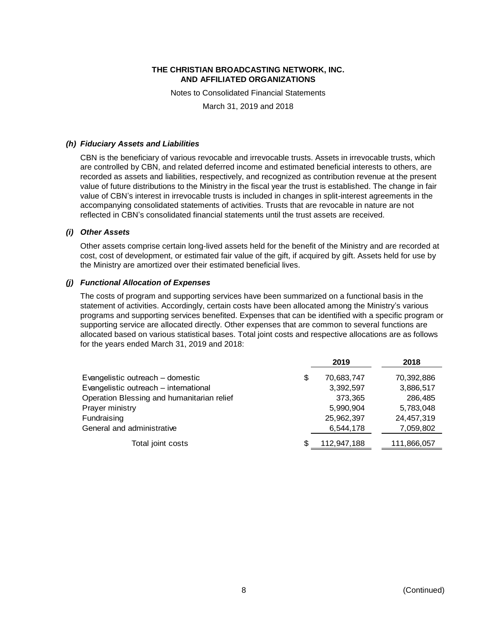Notes to Consolidated Financial Statements

March 31, 2019 and 2018

#### *(h) Fiduciary Assets and Liabilities*

CBN is the beneficiary of various revocable and irrevocable trusts. Assets in irrevocable trusts, which are controlled by CBN, and related deferred income and estimated beneficial interests to others, are recorded as assets and liabilities, respectively, and recognized as contribution revenue at the present value of future distributions to the Ministry in the fiscal year the trust is established. The change in fair value of CBN's interest in irrevocable trusts is included in changes in split-interest agreements in the accompanying consolidated statements of activities. Trusts that are revocable in nature are not reflected in CBN's consolidated financial statements until the trust assets are received.

#### *(i) Other Assets*

Other assets comprise certain long-lived assets held for the benefit of the Ministry and are recorded at cost, cost of development, or estimated fair value of the gift, if acquired by gift. Assets held for use by the Ministry are amortized over their estimated beneficial lives.

## *(j) Functional Allocation of Expenses*

The costs of program and supporting services have been summarized on a functional basis in the statement of activities. Accordingly, certain costs have been allocated among the Ministry's various programs and supporting services benefited. Expenses that can be identified with a specific program or supporting service are allocated directly. Other expenses that are common to several functions are allocated based on various statistical bases. Total joint costs and respective allocations are as follows for the years ended March 31, 2019 and 2018:

|                                            | 2019        | 2018        |
|--------------------------------------------|-------------|-------------|
| Evangelistic outreach - domestic<br>\$     | 70,683,747  | 70,392,886  |
| Evangelistic outreach - international      | 3,392,597   | 3,886,517   |
| Operation Blessing and humanitarian relief | 373,365     | 286,485     |
| Prayer ministry                            | 5,990,904   | 5,783,048   |
| Fundraising                                | 25,962,397  | 24,457,319  |
| General and administrative                 | 6,544,178   | 7,059,802   |
| Total joint costs<br>S                     | 112,947,188 | 111,866,057 |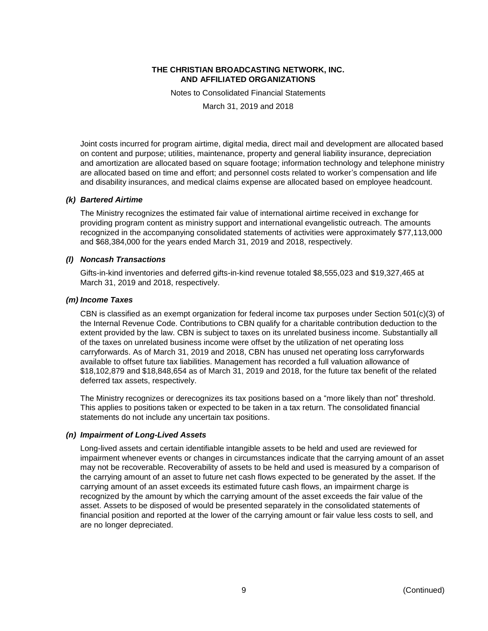Notes to Consolidated Financial Statements

March 31, 2019 and 2018

Joint costs incurred for program airtime, digital media, direct mail and development are allocated based on content and purpose; utilities, maintenance, property and general liability insurance, depreciation and amortization are allocated based on square footage; information technology and telephone ministry are allocated based on time and effort; and personnel costs related to worker's compensation and life and disability insurances, and medical claims expense are allocated based on employee headcount.

## *(k) Bartered Airtime*

The Ministry recognizes the estimated fair value of international airtime received in exchange for providing program content as ministry support and international evangelistic outreach. The amounts recognized in the accompanying consolidated statements of activities were approximately \$77,113,000 and \$68,384,000 for the years ended March 31, 2019 and 2018, respectively.

## *(l) Noncash Transactions*

Gifts-in-kind inventories and deferred gifts-in-kind revenue totaled \$8,555,023 and \$19,327,465 at March 31, 2019 and 2018, respectively.

## *(m) Income Taxes*

CBN is classified as an exempt organization for federal income tax purposes under Section 501(c)(3) of the Internal Revenue Code. Contributions to CBN qualify for a charitable contribution deduction to the extent provided by the law. CBN is subject to taxes on its unrelated business income. Substantially all of the taxes on unrelated business income were offset by the utilization of net operating loss carryforwards. As of March 31, 2019 and 2018, CBN has unused net operating loss carryforwards available to offset future tax liabilities. Management has recorded a full valuation allowance of \$18,102,879 and \$18,848,654 as of March 31, 2019 and 2018, for the future tax benefit of the related deferred tax assets, respectively.

The Ministry recognizes or derecognizes its tax positions based on a "more likely than not" threshold. This applies to positions taken or expected to be taken in a tax return. The consolidated financial statements do not include any uncertain tax positions.

## *(n) Impairment of Long-Lived Assets*

Long-lived assets and certain identifiable intangible assets to be held and used are reviewed for impairment whenever events or changes in circumstances indicate that the carrying amount of an asset may not be recoverable. Recoverability of assets to be held and used is measured by a comparison of the carrying amount of an asset to future net cash flows expected to be generated by the asset. If the carrying amount of an asset exceeds its estimated future cash flows, an impairment charge is recognized by the amount by which the carrying amount of the asset exceeds the fair value of the asset. Assets to be disposed of would be presented separately in the consolidated statements of financial position and reported at the lower of the carrying amount or fair value less costs to sell, and are no longer depreciated.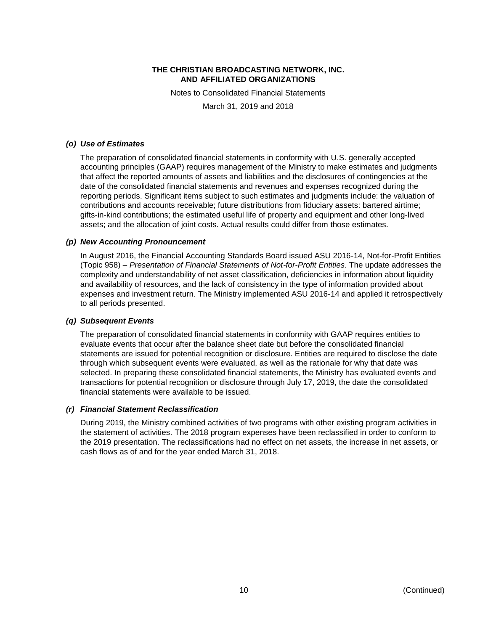Notes to Consolidated Financial Statements

March 31, 2019 and 2018

## *(o) Use of Estimates*

The preparation of consolidated financial statements in conformity with U.S. generally accepted accounting principles (GAAP) requires management of the Ministry to make estimates and judgments that affect the reported amounts of assets and liabilities and the disclosures of contingencies at the date of the consolidated financial statements and revenues and expenses recognized during the reporting periods. Significant items subject to such estimates and judgments include: the valuation of contributions and accounts receivable; future distributions from fiduciary assets: bartered airtime; gifts-in-kind contributions; the estimated useful life of property and equipment and other long-lived assets; and the allocation of joint costs. Actual results could differ from those estimates.

## *(p) New Accounting Pronouncement*

In August 2016, the Financial Accounting Standards Board issued ASU 2016-14, Not-for-Profit Entities (Topic 958) – *Presentation of Financial Statements of Not-for-Profit Entities.* The update addresses the complexity and understandability of net asset classification, deficiencies in information about liquidity and availability of resources, and the lack of consistency in the type of information provided about expenses and investment return. The Ministry implemented ASU 2016-14 and applied it retrospectively to all periods presented.

## *(q) Subsequent Events*

The preparation of consolidated financial statements in conformity with GAAP requires entities to evaluate events that occur after the balance sheet date but before the consolidated financial statements are issued for potential recognition or disclosure. Entities are required to disclose the date through which subsequent events were evaluated, as well as the rationale for why that date was selected. In preparing these consolidated financial statements, the Ministry has evaluated events and transactions for potential recognition or disclosure through July 17, 2019, the date the consolidated financial statements were available to be issued.

## *(r) Financial Statement Reclassification*

During 2019, the Ministry combined activities of two programs with other existing program activities in the statement of activities. The 2018 program expenses have been reclassified in order to conform to the 2019 presentation. The reclassifications had no effect on net assets, the increase in net assets, or cash flows as of and for the year ended March 31, 2018.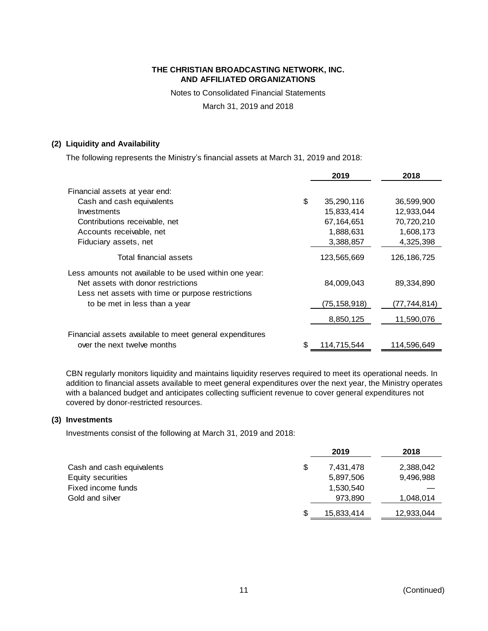Notes to Consolidated Financial Statements

March 31, 2019 and 2018

## **(2) Liquidity and Availability**

The following represents the Ministry's financial assets at March 31, 2019 and 2018:

|                                                         |     | 2019           | 2018          |
|---------------------------------------------------------|-----|----------------|---------------|
| Financial assets at year end:                           |     |                |               |
| Cash and cash equivalents                               | \$  | 35,290,116     | 36,599,900    |
| Investments                                             |     | 15,833,414     | 12,933,044    |
| Contributions receivable, net                           |     | 67,164,651     | 70,720,210    |
| Accounts receivable, net                                |     | 1,888,631      | 1,608,173     |
| Fiduciary assets, net                                   |     | 3,388,857      | 4,325,398     |
| Total financial assets                                  |     | 123,565,669    | 126, 186, 725 |
| Less amounts not available to be used within one year:  |     |                |               |
| Net assets with donor restrictions                      |     | 84,009,043     | 89,334,890    |
| Less net assets with time or purpose restrictions       |     |                |               |
| to be met in less than a year                           |     | (75, 158, 918) | (77,744,814)  |
|                                                         |     | 8,850,125      | 11,590,076    |
| Financial assets available to meet general expenditures |     |                |               |
| over the next twelve months                             | \$. | 114,715,544    | 114,596,649   |

CBN regularly monitors liquidity and maintains liquidity reserves required to meet its operational needs. In addition to financial assets available to meet general expenditures over the next year, the Ministry operates with a balanced budget and anticipates collecting sufficient revenue to cover general expenditures not covered by donor-restricted resources.

## **(3) Investments**

Investments consist of the following at March 31, 2019 and 2018:

|                           | 2019            | 2018       |
|---------------------------|-----------------|------------|
| Cash and cash equivalents | \$<br>7,431,478 | 2,388,042  |
| Equity securities         | 5,897,506       | 9,496,988  |
| Fixed income funds        | 1,530,540       |            |
| Gold and silver           | 973,890         | 1,048,014  |
|                           | 15,833,414      | 12,933,044 |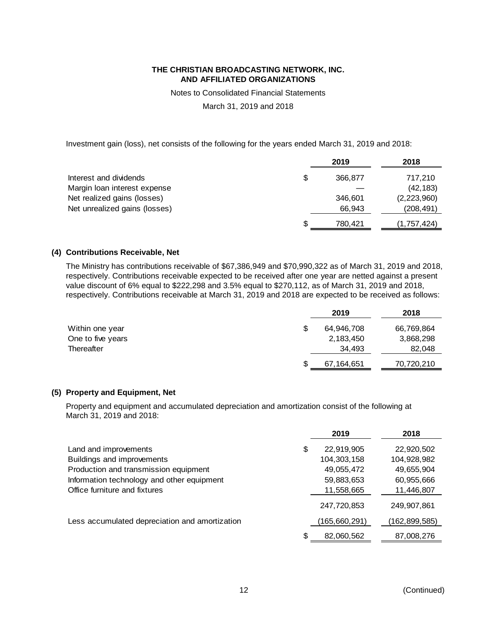Notes to Consolidated Financial Statements

March 31, 2019 and 2018

Investment gain (loss), net consists of the following for the years ended March 31, 2019 and 2018:

|                               |   | 2019    | 2018        |
|-------------------------------|---|---------|-------------|
| Interest and dividends        | S | 366,877 | 717,210     |
| Margin Ioan interest expense  |   |         | (42, 183)   |
| Net realized gains (losses)   |   | 346.601 | (2,223,960) |
| Net unrealized gains (losses) |   | 66.943  | (208, 491)  |
|                               | S | 780,421 | (1,757,424) |

## **(4) Contributions Receivable, Net**

The Ministry has contributions receivable of \$67,386,949 and \$70,990,322 as of March 31, 2019 and 2018, respectively. Contributions receivable expected to be received after one year are netted against a present value discount of 6% equal to \$222,298 and 3.5% equal to \$270,112, as of March 31, 2019 and 2018, respectively. Contributions receivable at March 31, 2019 and 2018 are expected to be received as follows:

| 2019       | 2018       |
|------------|------------|
| 64,946,708 | 66,769,864 |
| 2,183,450  | 3,868,298  |
| 34.493     | 82,048     |
|            | 70,720,210 |
|            | 67,164,651 |

## **(5) Property and Equipment, Net**

Property and equipment and accumulated depreciation and amortization consist of the following at March 31, 2019 and 2018:

|                                                |    | 2019         | 2018          |
|------------------------------------------------|----|--------------|---------------|
| Land and improvements                          | \$ | 22,919,905   | 22,920,502    |
| Buildings and improvements                     |    | 104,303,158  | 104,928,982   |
| Production and transmission equipment          |    | 49,055,472   | 49,655,904    |
| Information technology and other equipment     |    | 59,883,653   | 60,955,666    |
| Office furniture and fixtures                  |    | 11,558,665   | 11,446,807    |
|                                                |    | 247,720,853  | 249,907,861   |
| Less accumulated depreciation and amortization |    | 165,660,291) | (162,899,585) |
|                                                | S  | 82,060,562   | 87,008,276    |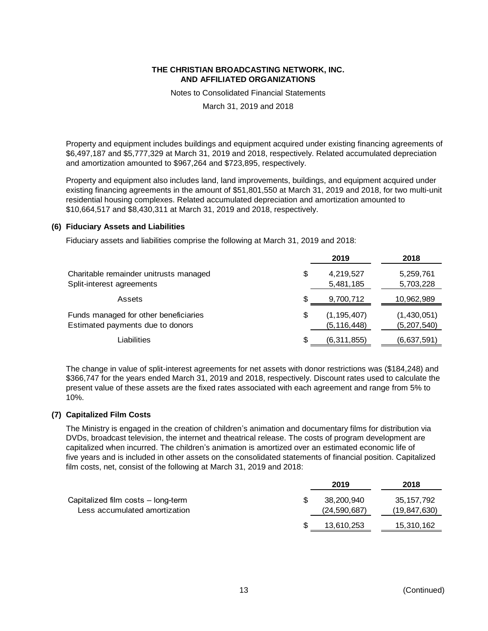Notes to Consolidated Financial Statements

March 31, 2019 and 2018

Property and equipment includes buildings and equipment acquired under existing financing agreements of \$6,497,187 and \$5,777,329 at March 31, 2019 and 2018, respectively. Related accumulated depreciation and amortization amounted to \$967,264 and \$723,895, respectively.

Property and equipment also includes land, land improvements, buildings, and equipment acquired under existing financing agreements in the amount of \$51,801,550 at March 31, 2019 and 2018, for two multi-unit residential housing complexes. Related accumulated depreciation and amortization amounted to \$10,664,517 and \$8,430,311 at March 31, 2019 and 2018, respectively.

## **(6) Fiduciary Assets and Liabilities**

Fiduciary assets and liabilities comprise the following at March 31, 2019 and 2018:

|                                                                           | 2019                                 | 2018                         |
|---------------------------------------------------------------------------|--------------------------------------|------------------------------|
| Charitable remainder unitrusts managed<br>Split-interest agreements       | \$<br>4,219,527<br>5,481,185         | 5,259,761<br>5,703,228       |
| Assets                                                                    | 9,700,712                            | 10,962,989                   |
| Funds managed for other beneficiaries<br>Estimated payments due to donors | \$<br>(1, 195, 407)<br>(5, 116, 448) | (1,430,051)<br>(5, 207, 540) |
| Liabilities                                                               | (6,311,855)                          | (6,637,591)                  |

The change in value of split-interest agreements for net assets with donor restrictions was (\$184,248) and \$366,747 for the years ended March 31, 2019 and 2018, respectively. Discount rates used to calculate the present value of these assets are the fixed rates associated with each agreement and range from 5% to 10%.

## **(7) Capitalized Film Costs**

The Ministry is engaged in the creation of children's animation and documentary films for distribution via DVDs, broadcast television, the internet and theatrical release. The costs of program development are capitalized when incurred. The children's animation is amortized over an estimated economic life of five years and is included in other assets on the consolidated statements of financial position. Capitalized film costs, net, consist of the following at March 31, 2019 and 2018:

| 2019         | 2018           |
|--------------|----------------|
| 38,200,940   | 35, 157, 792   |
| (24,590,687) | (19, 847, 630) |
| 13,610,253   | 15,310,162     |
|              |                |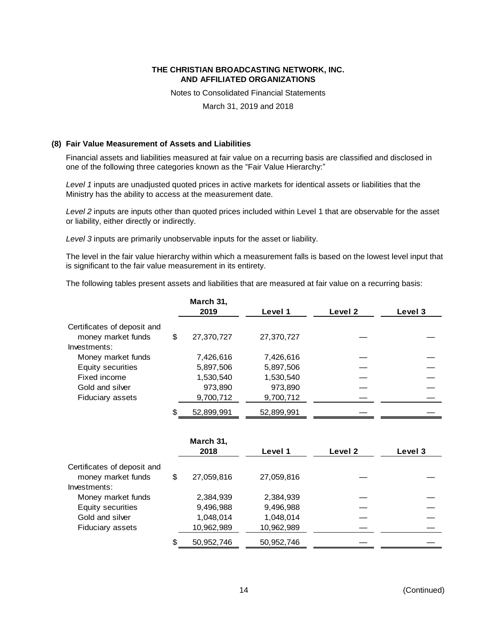Notes to Consolidated Financial Statements

March 31, 2019 and 2018

## **(8) Fair Value Measurement of Assets and Liabilities**

Financial assets and liabilities measured at fair value on a recurring basis are classified and disclosed in one of the following three categories known as the "Fair Value Hierarchy:"

*Level 1* inputs are unadjusted quoted prices in active markets for identical assets or liabilities that the Ministry has the ability to access at the measurement date.

*Level 2* inputs are inputs other than quoted prices included within Level 1 that are observable for the asset or liability, either directly or indirectly.

*Level 3* inputs are primarily unobservable inputs for the asset or liability.

The level in the fair value hierarchy within which a measurement falls is based on the lowest level input that is significant to the fair value measurement in its entirety.

The following tables present assets and liabilities that are measured at fair value on a recurring basis:

|                             | March 31,<br>2019 | Level 1    | Level 2 | Level 3 |
|-----------------------------|-------------------|------------|---------|---------|
| Certificates of deposit and |                   |            |         |         |
| money market funds          | \$<br>27,370,727  | 27,370,727 |         |         |
| Investments:                |                   |            |         |         |
| Money market funds          | 7,426,616         | 7,426,616  |         |         |
| Equity securities           | 5,897,506         | 5,897,506  |         |         |
| Fixed income                | 1,530,540         | 1,530,540  |         |         |
| Gold and silver             | 973,890           | 973,890    |         |         |
| Fiduciary assets            | 9,700,712         | 9,700,712  |         |         |
|                             | 52,899,991        | 52,899,991 |         |         |

|                                                   |    | March 31,<br>2018 | Level 1    | Level 2 | Level 3 |
|---------------------------------------------------|----|-------------------|------------|---------|---------|
| Certificates of deposit and<br>money market funds | \$ | 27,059,816        | 27,059,816 |         |         |
| Investments:                                      |    |                   |            |         |         |
| Money market funds                                |    | 2,384,939         | 2,384,939  |         |         |
| Equity securities                                 |    | 9,496,988         | 9,496,988  |         |         |
| Gold and silver                                   |    | 1,048,014         | 1,048,014  |         |         |
| <b>Fiduciary assets</b>                           |    | 10,962,989        | 10,962,989 |         |         |
|                                                   | S  | 50,952,746        | 50.952.746 |         |         |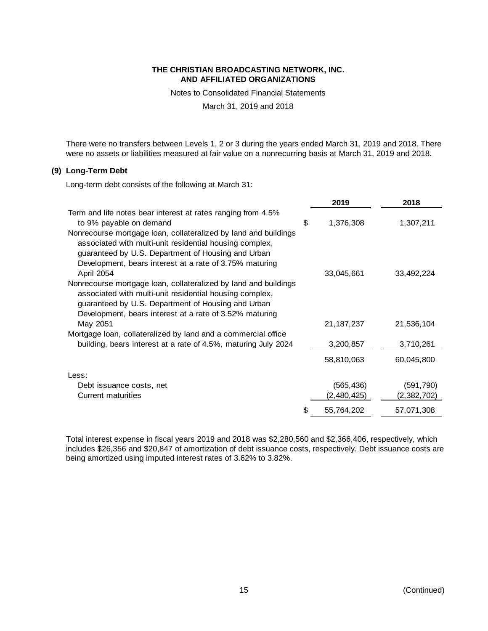Notes to Consolidated Financial Statements

March 31, 2019 and 2018

There were no transfers between Levels 1, 2 or 3 during the years ended March 31, 2019 and 2018. There were no assets or liabilities measured at fair value on a nonrecurring basis at March 31, 2019 and 2018.

## **(9) Long-Term Debt**

Long-term debt consists of the following at March 31:

|                                                                                                                                                                                                                                             |   | 2019         | 2018        |
|---------------------------------------------------------------------------------------------------------------------------------------------------------------------------------------------------------------------------------------------|---|--------------|-------------|
| Term and life notes bear interest at rates ranging from 4.5%                                                                                                                                                                                |   |              |             |
| to 9% payable on demand                                                                                                                                                                                                                     | S | 1,376,308    | 1,307,211   |
| Nonrecourse mortgage loan, collateralized by land and buildings<br>associated with multi-unit residential housing complex,<br>guaranteed by U.S. Department of Housing and Urban<br>Development, bears interest at a rate of 3.75% maturing |   |              |             |
| April 2054                                                                                                                                                                                                                                  |   | 33,045,661   | 33,492,224  |
| Nonrecourse mortgage loan, collateralized by land and buildings<br>associated with multi-unit residential housing complex,<br>guaranteed by U.S. Department of Housing and Urban<br>Development, bears interest at a rate of 3.52% maturing |   |              |             |
| May 2051                                                                                                                                                                                                                                    |   | 21, 187, 237 | 21,536,104  |
| Mortgage loan, collateralized by land and a commercial office                                                                                                                                                                               |   |              |             |
| building, bears interest at a rate of 4.5%, maturing July 2024                                                                                                                                                                              |   | 3,200,857    | 3,710,261   |
|                                                                                                                                                                                                                                             |   | 58,810,063   | 60,045,800  |
| Less:                                                                                                                                                                                                                                       |   |              |             |
| Debt issuance costs, net                                                                                                                                                                                                                    |   | (565, 436)   | (591, 790)  |
| Current maturities                                                                                                                                                                                                                          |   | (2,480,425)  | (2,382,702) |
|                                                                                                                                                                                                                                             | S | 55,764,202   | 57,071,308  |

Total interest expense in fiscal years 2019 and 2018 was \$2,280,560 and \$2,366,406, respectively, which includes \$26,356 and \$20,847 of amortization of debt issuance costs, respectively. Debt issuance costs are being amortized using imputed interest rates of 3.62% to 3.82%.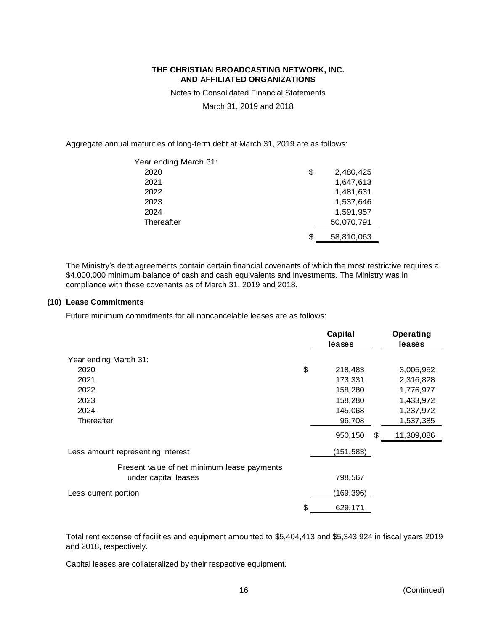Notes to Consolidated Financial Statements

March 31, 2019 and 2018

Aggregate annual maturities of long-term debt at March 31, 2019 are as follows:

| Year ending March 31: |    |            |
|-----------------------|----|------------|
| 2020                  | \$ | 2,480,425  |
| 2021                  |    | 1,647,613  |
| 2022                  |    | 1,481,631  |
| 2023                  |    | 1,537,646  |
| 2024                  |    | 1,591,957  |
| Thereafter            |    | 50,070,791 |
|                       | ß. | 58,810,063 |

The Ministry's debt agreements contain certain financial covenants of which the most restrictive requires a \$4,000,000 minimum balance of cash and cash equivalents and investments. The Ministry was in compliance with these covenants as of March 31, 2019 and 2018.

## **(10) Lease Commitments**

Future minimum commitments for all noncancelable leases are as follows:

|                                             | Capital<br>leases | <b>Operating</b><br>leases |
|---------------------------------------------|-------------------|----------------------------|
| Year ending March 31:                       |                   |                            |
| 2020                                        | \$<br>218,483     | 3,005,952                  |
| 2021                                        | 173,331           | 2,316,828                  |
| 2022                                        | 158,280           | 1,776,977                  |
| 2023                                        | 158,280           | 1,433,972                  |
| 2024                                        | 145,068           | 1,237,972                  |
| Thereafter                                  | 96,708            | 1,537,385                  |
|                                             | 950,150           | \$<br>11,309,086           |
| Less amount representing interest           | (151, 583)        |                            |
| Present value of net minimum lease payments |                   |                            |
| under capital leases                        | 798,567           |                            |
| Less current portion                        | (169,396)         |                            |
|                                             | \$<br>629,171     |                            |

Total rent expense of facilities and equipment amounted to \$5,404,413 and \$5,343,924 in fiscal years 2019 and 2018, respectively.

Capital leases are collateralized by their respective equipment.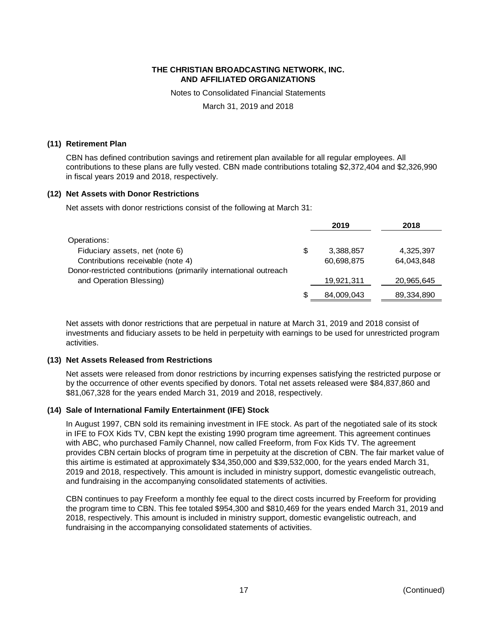Notes to Consolidated Financial Statements

March 31, 2019 and 2018

#### **(11) Retirement Plan**

CBN has defined contribution savings and retirement plan available for all regular employees. All contributions to these plans are fully vested. CBN made contributions totaling \$2,372,404 and \$2,326,990 in fiscal years 2019 and 2018, respectively.

## **(12) Net Assets with Donor Restrictions**

Net assets with donor restrictions consist of the following at March 31:

|                                                                  |    | 2019       | 2018       |
|------------------------------------------------------------------|----|------------|------------|
| Operations:                                                      |    |            |            |
| Fiduciary assets, net (note 6)                                   | \$ | 3,388,857  | 4,325,397  |
| Contributions receivable (note 4)                                |    | 60,698,875 | 64.043.848 |
| Donor-restricted contributions (primarily international outreach |    |            |            |
| and Operation Blessing)                                          |    | 19,921,311 | 20,965,645 |
|                                                                  | S  | 84,009,043 | 89,334,890 |

Net assets with donor restrictions that are perpetual in nature at March 31, 2019 and 2018 consist of investments and fiduciary assets to be held in perpetuity with earnings to be used for unrestricted program activities.

## **(13) Net Assets Released from Restrictions**

Net assets were released from donor restrictions by incurring expenses satisfying the restricted purpose or by the occurrence of other events specified by donors. Total net assets released were \$84,837,860 and \$81,067,328 for the years ended March 31, 2019 and 2018, respectively.

## **(14) Sale of International Family Entertainment (IFE) Stock**

In August 1997, CBN sold its remaining investment in IFE stock. As part of the negotiated sale of its stock in IFE to FOX Kids TV, CBN kept the existing 1990 program time agreement. This agreement continues with ABC, who purchased Family Channel, now called Freeform, from Fox Kids TV. The agreement provides CBN certain blocks of program time in perpetuity at the discretion of CBN. The fair market value of this airtime is estimated at approximately \$34,350,000 and \$39,532,000, for the years ended March 31, 2019 and 2018, respectively. This amount is included in ministry support, domestic evangelistic outreach, and fundraising in the accompanying consolidated statements of activities.

CBN continues to pay Freeform a monthly fee equal to the direct costs incurred by Freeform for providing the program time to CBN. This fee totaled \$954,300 and \$810,469 for the years ended March 31, 2019 and 2018, respectively. This amount is included in ministry support, domestic evangelistic outreach, and fundraising in the accompanying consolidated statements of activities.